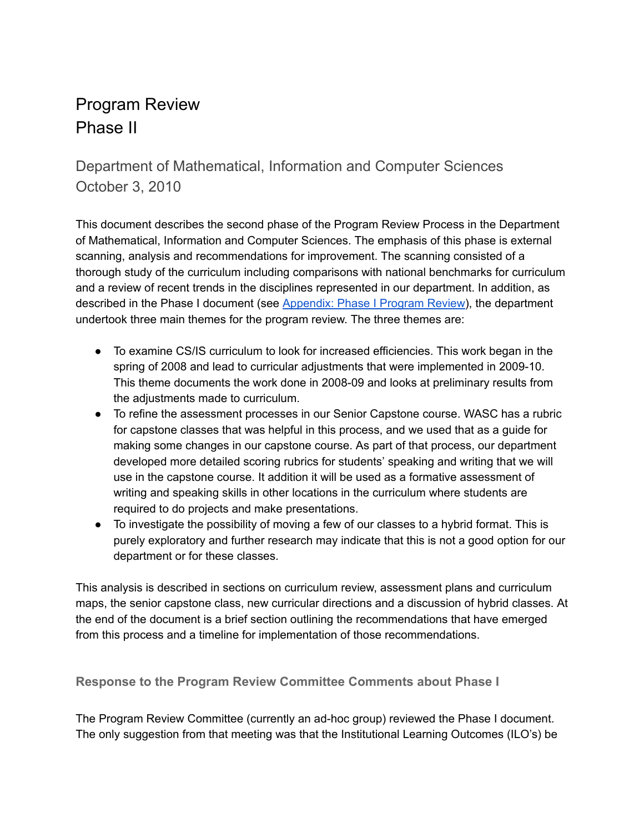# Program Review Phase II

Department of Mathematical, Information and Computer Sciences October 3, 2010

This document describes the second phase of the Program Review Process in the Department of Mathematical, Information and Computer Sciences. The emphasis of this phase is external scanning, analysis and recommendations for improvement. The scanning consisted of a thorough study of the curriculum including comparisons with national benchmarks for curriculum and a review of recent trends in the disciplines represented in our department. In addition, as described in the Phase I document (see [Appendix:](https://drive.google.com/open?id=0Bxic57U2ySkldlgyX0RBUkFZVDQ) Phase I Program Review), the department undertook three main themes for the program review. The three themes are:

- To examine CS/IS curriculum to look for increased efficiencies. This work began in the spring of 2008 and lead to curricular adjustments that were implemented in 2009-10. This theme documents the work done in 2008-09 and looks at preliminary results from the adjustments made to curriculum.
- To refine the assessment processes in our Senior Capstone course. WASC has a rubric for capstone classes that was helpful in this process, and we used that as a guide for making some changes in our capstone course. As part of that process, our department developed more detailed scoring rubrics for students' speaking and writing that we will use in the capstone course. It addition it will be used as a formative assessment of writing and speaking skills in other locations in the curriculum where students are required to do projects and make presentations.
- To investigate the possibility of moving a few of our classes to a hybrid format. This is purely exploratory and further research may indicate that this is not a good option for our department or for these classes.

This analysis is described in sections on curriculum review, assessment plans and curriculum maps, the senior capstone class, new curricular directions and a discussion of hybrid classes. At the end of the document is a brief section outlining the recommendations that have emerged from this process and a timeline for implementation of those recommendations.

**Response to the Program Review Committee Comments about Phase I**

The Program Review Committee (currently an ad-hoc group) reviewed the Phase I document. The only suggestion from that meeting was that the Institutional Learning Outcomes (ILO's) be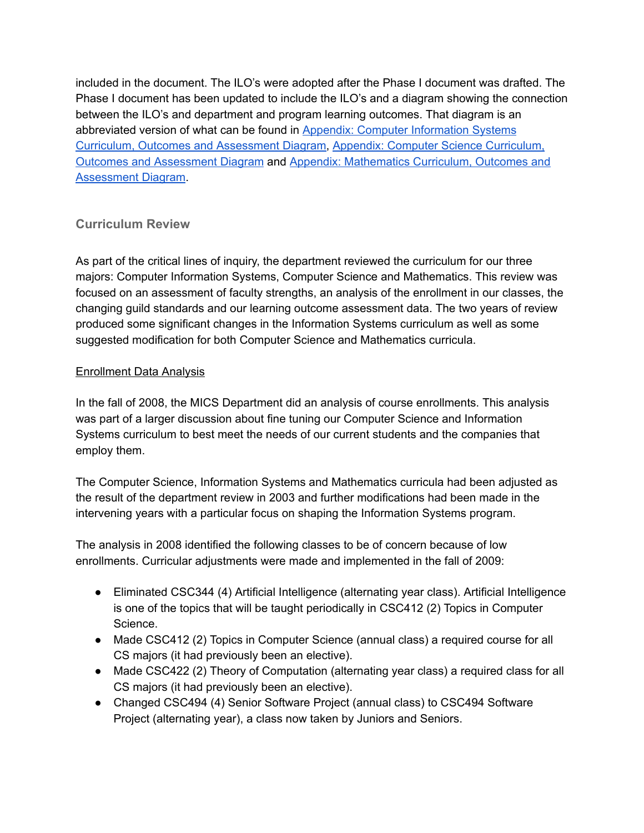included in the document. The ILO's were adopted after the Phase I document was drafted. The Phase I document has been updated to include the ILO's and a diagram showing the connection between the ILO's and department and program learning outcomes. That diagram is an abbreviated version of what can be found in Appendix: Computer [Information](https://drive.google.com/open?id=0Bxic57U2ySklWFVJb3J4R2RySUU) Systems Curriculum, Outcomes and [Assessment](https://drive.google.com/open?id=0Bxic57U2ySklWFVJb3J4R2RySUU) Diagram, Appendix: Computer Science [Curriculum,](https://drive.google.com/open?id=0Bxic57U2ySklUm4yVkc5Z1RheW8) Outcomes and [Assessment](https://drive.google.com/open?id=0Bxic57U2ySklUm4yVkc5Z1RheW8) Diagram and Appendix: [Mathematics](https://drive.google.com/open?id=0Bxic57U2ySkldXRBMGRkMVBSc2M) Curriculum, Outcomes and [Assessment](https://drive.google.com/open?id=0Bxic57U2ySkldXRBMGRkMVBSc2M) Diagram.

# **Curriculum Review**

As part of the critical lines of inquiry, the department reviewed the curriculum for our three majors: Computer Information Systems, Computer Science and Mathematics. This review was focused on an assessment of faculty strengths, an analysis of the enrollment in our classes, the changing guild standards and our learning outcome assessment data. The two years of review produced some significant changes in the Information Systems curriculum as well as some suggested modification for both Computer Science and Mathematics curricula.

#### Enrollment Data Analysis

In the fall of 2008, the MICS Department did an analysis of course enrollments. This analysis was part of a larger discussion about fine tuning our Computer Science and Information Systems curriculum to best meet the needs of our current students and the companies that employ them.

The Computer Science, Information Systems and Mathematics curricula had been adjusted as the result of the department review in 2003 and further modifications had been made in the intervening years with a particular focus on shaping the Information Systems program.

The analysis in 2008 identified the following classes to be of concern because of low enrollments. Curricular adjustments were made and implemented in the fall of 2009:

- Eliminated CSC344 (4) Artificial Intelligence (alternating year class). Artificial Intelligence is one of the topics that will be taught periodically in CSC412 (2) Topics in Computer Science.
- Made CSC412 (2) Topics in Computer Science (annual class) a required course for all CS majors (it had previously been an elective).
- Made CSC422 (2) Theory of Computation (alternating year class) a required class for all CS majors (it had previously been an elective).
- Changed CSC494 (4) Senior Software Project (annual class) to CSC494 Software Project (alternating year), a class now taken by Juniors and Seniors.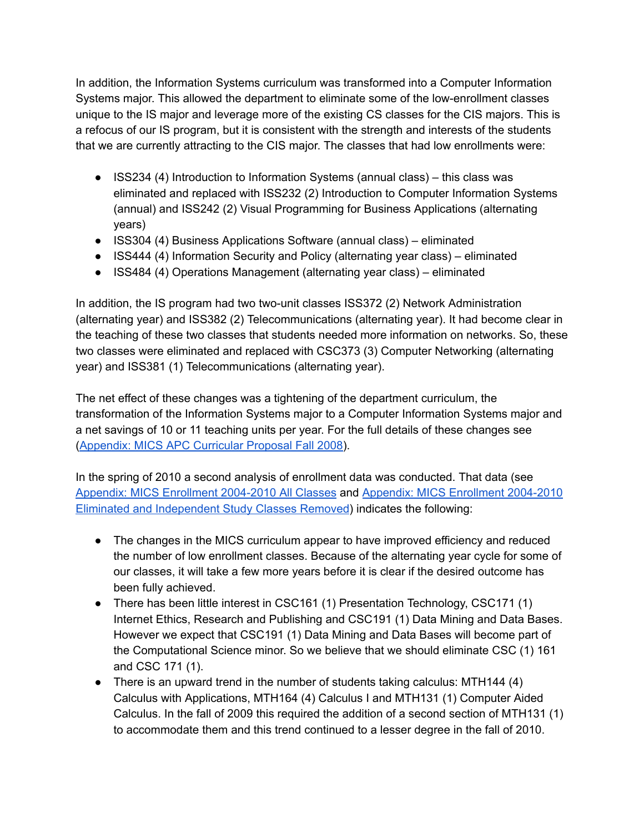In addition, the Information Systems curriculum was transformed into a Computer Information Systems major. This allowed the department to eliminate some of the low-enrollment classes unique to the IS major and leverage more of the existing CS classes for the CIS majors. This is a refocus of our IS program, but it is consistent with the strength and interests of the students that we are currently attracting to the CIS major. The classes that had low enrollments were:

- ISS234 (4) Introduction to Information Systems (annual class) this class was eliminated and replaced with ISS232 (2) Introduction to Computer Information Systems (annual) and ISS242 (2) Visual Programming for Business Applications (alternating years)
- ISS304 (4) Business Applications Software (annual class) eliminated
- ISS444 (4) Information Security and Policy (alternating year class) eliminated
- ISS484 (4) Operations Management (alternating year class) eliminated

In addition, the IS program had two two-unit classes ISS372 (2) Network Administration (alternating year) and ISS382 (2) Telecommunications (alternating year). It had become clear in the teaching of these two classes that students needed more information on networks. So, these two classes were eliminated and replaced with CSC373 (3) Computer Networking (alternating year) and ISS381 (1) Telecommunications (alternating year).

The net effect of these changes was a tightening of the department curriculum, the transformation of the Information Systems major to a Computer Information Systems major and a net savings of 10 or 11 teaching units per year. For the full details of these changes see ([Appendix:](https://drive.google.com/open?id=0Bxic57U2ySklX1pPVDJIajhXVlk) MICS APC Curricular Proposal Fall 2008).

In the spring of 2010 a second analysis of enrollment data was conducted. That data (see Appendix: MICS Enrollment 2004-2010 All Classes and Appendix: MICS Enrollment 2004-2010 Eliminated and [Independent](https://drive.google.com/open?id=0Bxic57U2ySklQWY4TGwwWXd4YlE) Study Classes Removed) indicates the following:

- The changes in the MICS curriculum appear to have improved efficiency and reduced the number of low enrollment classes. Because of the alternating year cycle for some of our classes, it will take a few more years before it is clear if the desired outcome has been fully achieved.
- There has been little interest in CSC161 (1) Presentation Technology, CSC171 (1) Internet Ethics, Research and Publishing and CSC191 (1) Data Mining and Data Bases. However we expect that CSC191 (1) Data Mining and Data Bases will become part of the Computational Science minor. So we believe that we should eliminate CSC (1) 161 and CSC 171 (1).
- There is an upward trend in the number of students taking calculus: MTH144 (4) Calculus with Applications, MTH164 (4) Calculus I and MTH131 (1) Computer Aided Calculus. In the fall of 2009 this required the addition of a second section of MTH131 (1) to accommodate them and this trend continued to a lesser degree in the fall of 2010.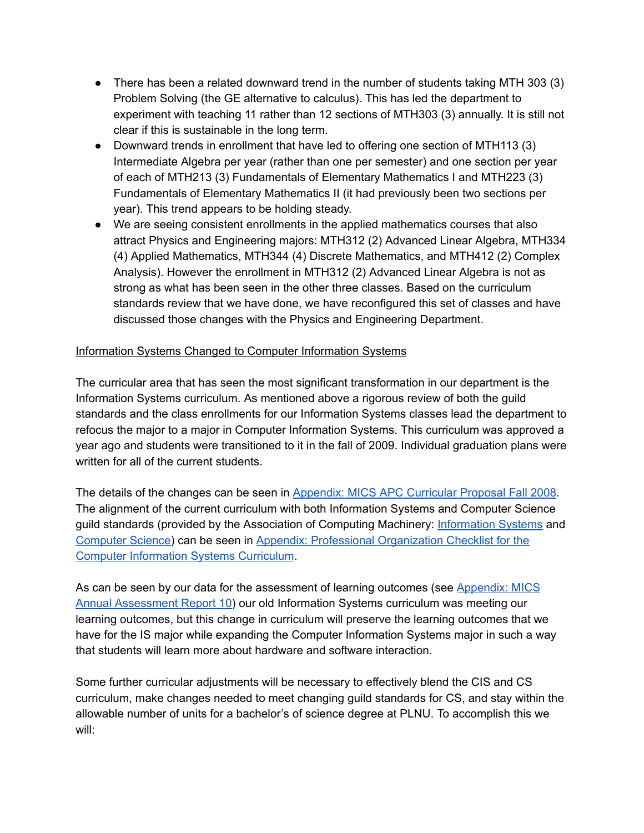- There has been a related downward trend in the number of students taking MTH 303 (3) Problem Solving (the GE alternative to calculus). This has led the department to experiment with teaching 11 rather than 12 sections of MTH303 (3) annually. It is still not clear if this is sustainable in the long term.
- Downward trends in enrollment that have led to offering one section of MTH113 (3) Intermediate Algebra per year (rather than one per semester) and one section per year of each of MTH213 (3) Fundamentals of Elementary Mathematics I and MTH223 (3) Fundamentals of Elementary Mathematics II (it had previously been two sections per year). This trend appears to be holding steady.
- We are seeing consistent enrollments in the applied mathematics courses that also attract Physics and Engineering majors: MTH312 (2) Advanced Linear Algebra, MTH334 (4) Applied Mathematics, MTH344 (4) Discrete Mathematics, and MTH412 (2) Complex Analysis). However the enrollment in MTH312 (2) Advanced Linear Algebra is not as strong as what has been seen in the other three classes. Based on the curriculum standards review that we have done, we have reconfigured this set of classes and have discussed those changes with the Physics and Engineering Department.

# Information Systems Changed to Computer Information Systems

The curricular area that has seen the most significant transformation in our department is the Information Systems curriculum. As mentioned above a rigorous review of both the guild standards and the class enrollments for our Information Systems classes lead the department to refocus the major to a major in Computer Information Systems. This curriculum was approved a year ago and students were transitioned to it in the fall of 2009. Individual graduation plans were written for all of the current students.

The details of the changes can be seen in [Appendix:](https://drive.google.com/open?id=0Bxic57U2ySklX1pPVDJIajhXVlk) MICS APC Curricular Proposal Fall 2008. The alignment of the current curriculum with both Information Systems and Computer Science guild standards (provided by the Association of Computing Machinery: [Information](http://www.acm.org/education/education/curric_vols/is2002.pdf) Systems and [Computer](http://www.acm.org//education/curricula/ComputerScience2008.pdf) Science) can be seen in Appendix: Professional [Organization](https://drive.google.com/file/d/0Bxic57U2ySklQWg0bnNjT3pjRFk/view?usp=sharing) Checklist for the Computer [Information](https://drive.google.com/file/d/0Bxic57U2ySklQWg0bnNjT3pjRFk/view?usp=sharing) Systems Curriculum.

As can be seen by our data for the assessment of learning outcomes (see [Appendix:](https://drive.google.com/file/d/0Bxic57U2ySklTXNtZ0pRUkRnRmM/view?usp=sharing) MICS Annual [Assessment](https://drive.google.com/file/d/0Bxic57U2ySklTXNtZ0pRUkRnRmM/view?usp=sharing) Report 10) our old Information Systems curriculum was meeting our learning outcomes, but this change in curriculum will preserve the learning outcomes that we have for the IS major while expanding the Computer Information Systems major in such a way that students will learn more about hardware and software interaction.

Some further curricular adjustments will be necessary to effectively blend the CIS and CS curriculum, make changes needed to meet changing guild standards for CS, and stay within the allowable number of units for a bachelor's of science degree at PLNU. To accomplish this we will: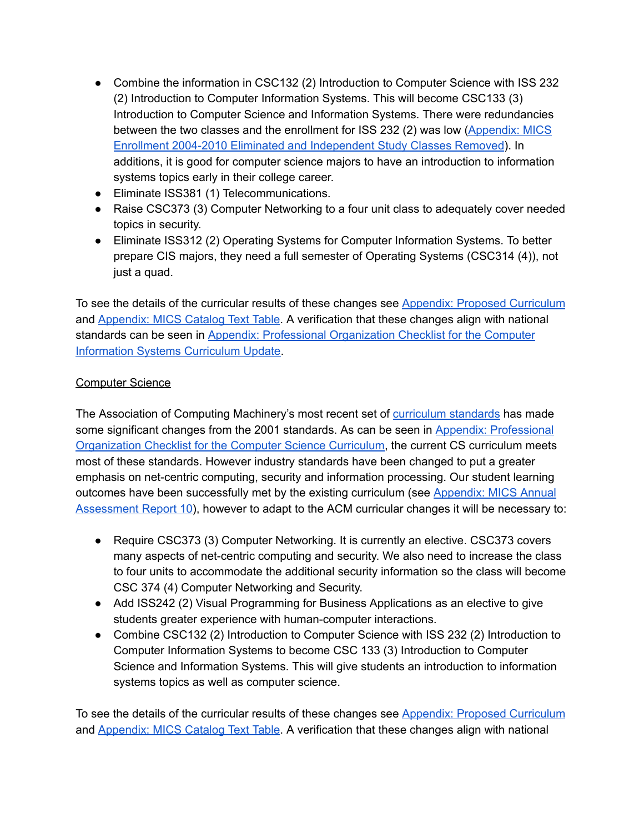- Combine the information in CSC132 (2) Introduction to Computer Science with ISS 232 (2) Introduction to Computer Information Systems. This will become CSC133 (3) Introduction to Computer Science and Information Systems. There were redundancies between the two classes and the enrollment for ISS 232 (2) was low ([Appendix:](https://drive.google.com/open?id=0Bxic57U2ySklQWY4TGwwWXd4YlE) MICS Enrollment 2004-2010 Eliminated and [Independent](https://drive.google.com/open?id=0Bxic57U2ySklQWY4TGwwWXd4YlE) Study Classes Removed). In additions, it is good for computer science majors to have an introduction to information systems topics early in their college career.
- Eliminate ISS381 (1) Telecommunications.
- Raise CSC373 (3) Computer Networking to a four unit class to adequately cover needed topics in security.
- Eliminate ISS312 (2) Operating Systems for Computer Information Systems. To better prepare CIS majors, they need a full semester of Operating Systems (CSC314 (4)), not just a quad.

To see the details of the curricular results of these changes see **Appendix: Proposed [Curriculum](https://drive.google.com/open?id=0Bxic57U2ySklWTBYNzBIWlVIMkU)** and [Appendix:](https://drive.google.com/open?id=0Bxic57U2ySklSzBPNmxJWGRkd00) MICS Catalog Text Table. A verification that these changes align with national standards can be seen in Appendix: Professional [Organization](https://drive.google.com/open?id=0Bxic57U2ySklcWxZSzlWWms5V1k) Checklist for the Computer [Information](https://drive.google.com/open?id=0Bxic57U2ySklcWxZSzlWWms5V1k) Systems Curriculum Update.

#### Computer Science

The Association of Computing Machinery's most recent set of [curriculum](http://www.acm.org//education/curricula/ComputerScience2008.pdf) standards has made some significant changes from the 2001 standards. As can be seen in Appendix: [Professional](https://drive.google.com/open?id=0Bxic57U2ySklcWxZSzlWWms5V1k) [Organization](https://drive.google.com/open?id=0Bxic57U2ySklcWxZSzlWWms5V1k) Checklist for the Computer Science Curriculum, the current CS curriculum meets most of these standards. However industry standards have been changed to put a greater emphasis on net-centric computing, security and information processing. Our student learning outcomes have been successfully met by the existing curriculum (see [Appendix:](https://drive.google.com/file/d/0Bxic57U2ySklTXNtZ0pRUkRnRmM/view?usp=sharing) MICS Annual [Assessment](https://drive.google.com/file/d/0Bxic57U2ySklTXNtZ0pRUkRnRmM/view?usp=sharing) Report 10), however to adapt to the ACM curricular changes it will be necessary to:

- Require CSC373 (3) Computer Networking. It is currently an elective. CSC373 covers many aspects of net-centric computing and security. We also need to increase the class to four units to accommodate the additional security information so the class will become CSC 374 (4) Computer Networking and Security.
- Add ISS242 (2) Visual Programming for Business Applications as an elective to give students greater experience with human-computer interactions.
- Combine CSC132 (2) Introduction to Computer Science with ISS 232 (2) Introduction to Computer Information Systems to become CSC 133 (3) Introduction to Computer Science and Information Systems. This will give students an introduction to information systems topics as well as computer science.

To see the details of the curricular results of these changes see Appendix: Proposed [Curriculum](https://drive.google.com/open?id=0Bxic57U2ySklWTBYNzBIWlVIMkU) and [Appendix:](https://drive.google.com/open?id=0Bxic57U2ySklSzBPNmxJWGRkd00) MICS Catalog Text Table. A verification that these changes align with national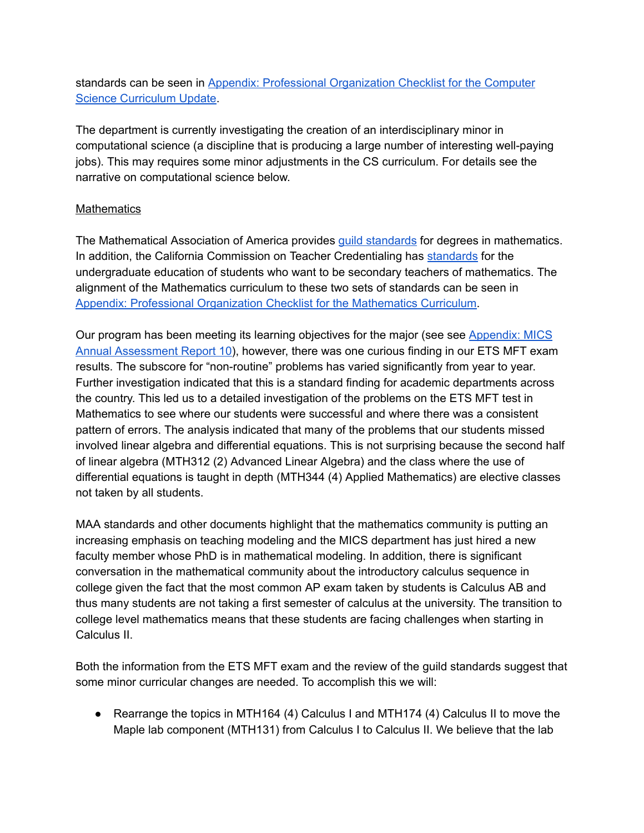standards can be seen in Appendix: Professional [Organization](https://drive.google.com/open?id=0Bxic57U2ySklcWxZSzlWWms5V1k) Checklist for the Computer Science [Curriculum](https://drive.google.com/open?id=0Bxic57U2ySklcWxZSzlWWms5V1k) Update.

The department is currently investigating the creation of an interdisciplinary minor in computational science (a discipline that is producing a large number of interesting well-paying jobs). This may requires some minor adjustments in the CS curriculum. For details see the narrative on computational science below.

### **Mathematics**

The Mathematical Association of America provides guild [standards](http://www.maa.org/programs/faculty-and-departments/curriculum-department-guidelines-recommendations/cupm) for degrees in mathematics. In addition, the California Commission on Teacher Credentialing has [standards](http://www.ctc.ca.gov/educator-prep/standards/SSMP-Handbook-Math.pdf) for the undergraduate education of students who want to be secondary teachers of mathematics. The alignment of the Mathematics curriculum to these two sets of standards can be seen in Appendix: Professional [Organization](https://drive.google.com/file/d/0Bxic57U2ySklVnljV3g2bzhYVUE/view?usp=sharing) Checklist for the Mathematics Curriculum.

Our program has been meeting its learning objectives for the major (see see [Appendix:](https://drive.google.com/open?id=0Bxic57U2ySklTXNtZ0pRUkRnRmM) MICS Annual [Assessment](https://drive.google.com/open?id=0Bxic57U2ySklTXNtZ0pRUkRnRmM) Report 10), however, there was one curious finding in our ETS MFT exam results. The subscore for "non-routine" problems has varied significantly from year to year. Further investigation indicated that this is a standard finding for academic departments across the country. This led us to a detailed investigation of the problems on the ETS MFT test in Mathematics to see where our students were successful and where there was a consistent pattern of errors. The analysis indicated that many of the problems that our students missed involved linear algebra and differential equations. This is not surprising because the second half of linear algebra (MTH312 (2) Advanced Linear Algebra) and the class where the use of differential equations is taught in depth (MTH344 (4) Applied Mathematics) are elective classes not taken by all students.

MAA standards and other documents highlight that the mathematics community is putting an increasing emphasis on teaching modeling and the MICS department has just hired a new faculty member whose PhD is in mathematical modeling. In addition, there is significant conversation in the mathematical community about the introductory calculus sequence in college given the fact that the most common AP exam taken by students is Calculus AB and thus many students are not taking a first semester of calculus at the university. The transition to college level mathematics means that these students are facing challenges when starting in Calculus II.

Both the information from the ETS MFT exam and the review of the guild standards suggest that some minor curricular changes are needed. To accomplish this we will:

● Rearrange the topics in MTH164 (4) Calculus I and MTH174 (4) Calculus II to move the Maple lab component (MTH131) from Calculus I to Calculus II. We believe that the lab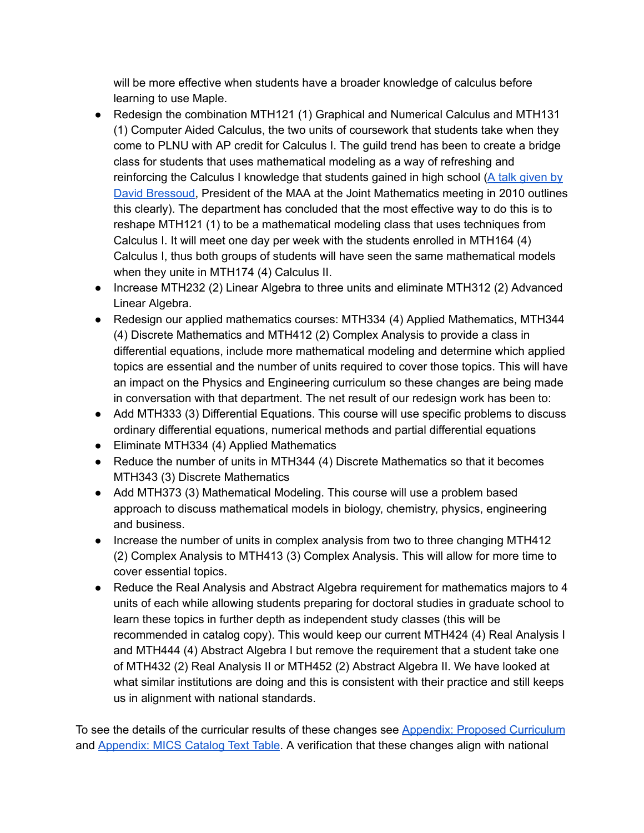will be more effective when students have a broader knowledge of calculus before learning to use Maple.

- Redesign the combination MTH121 (1) Graphical and Numerical Calculus and MTH131 (1) Computer Aided Calculus, the two units of coursework that students take when they come to PLNU with AP credit for Calculus I. The guild trend has been to create a bridge class for students that uses mathematical modeling as a way of refreshing and reinforcing the Calculus I knowledge that students gained in high school (A talk [given](http://www.macalester.edu/~bressoud/talks/2010/T3-transition.pdf) by David [Bressoud](http://www.macalester.edu/~bressoud/talks/2010/T3-transition.pdf), President of the MAA at the Joint Mathematics meeting in 2010 outlines this clearly). The department has concluded that the most effective way to do this is to reshape MTH121 (1) to be a mathematical modeling class that uses techniques from Calculus I. It will meet one day per week with the students enrolled in MTH164 (4) Calculus I, thus both groups of students will have seen the same mathematical models when they unite in MTH174 (4) Calculus II.
- Increase MTH232 (2) Linear Algebra to three units and eliminate MTH312 (2) Advanced Linear Algebra.
- Redesign our applied mathematics courses: MTH334 (4) Applied Mathematics, MTH344 (4) Discrete Mathematics and MTH412 (2) Complex Analysis to provide a class in differential equations, include more mathematical modeling and determine which applied topics are essential and the number of units required to cover those topics. This will have an impact on the Physics and Engineering curriculum so these changes are being made in conversation with that department. The net result of our redesign work has been to:
- Add MTH333 (3) Differential Equations. This course will use specific problems to discuss ordinary differential equations, numerical methods and partial differential equations
- Eliminate MTH334 (4) Applied Mathematics
- Reduce the number of units in MTH344 (4) Discrete Mathematics so that it becomes MTH343 (3) Discrete Mathematics
- Add MTH373 (3) Mathematical Modeling. This course will use a problem based approach to discuss mathematical models in biology, chemistry, physics, engineering and business.
- Increase the number of units in complex analysis from two to three changing MTH412 (2) Complex Analysis to MTH413 (3) Complex Analysis. This will allow for more time to cover essential topics.
- Reduce the Real Analysis and Abstract Algebra requirement for mathematics majors to 4 units of each while allowing students preparing for doctoral studies in graduate school to learn these topics in further depth as independent study classes (this will be recommended in catalog copy). This would keep our current MTH424 (4) Real Analysis I and MTH444 (4) Abstract Algebra I but remove the requirement that a student take one of MTH432 (2) Real Analysis II or MTH452 (2) Abstract Algebra II. We have looked at what similar institutions are doing and this is consistent with their practice and still keeps us in alignment with national standards.

To see the details of the curricular results of these changes see Appendix: Proposed [Curriculum](https://drive.google.com/open?id=0Bxic57U2ySklWTBYNzBIWlVIMkU) and [Appendix:](https://drive.google.com/open?id=0Bxic57U2ySklSzBPNmxJWGRkd00) MICS Catalog Text Table. A verification that these changes align with national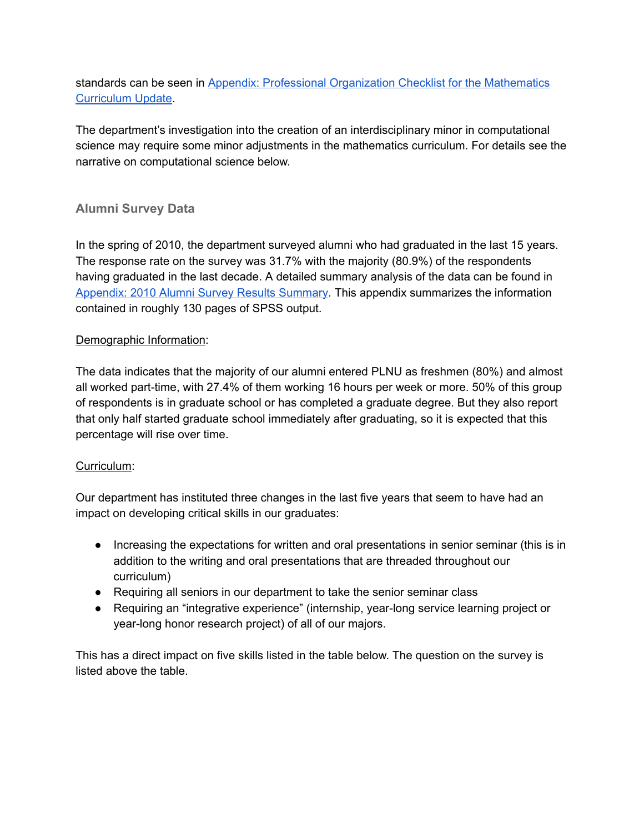# standards can be seen in Appendix: Professional [Organization](https://drive.google.com/file/d/0Bxic57U2ySklcm9OQVFzOGNfZEE/view?usp=sharing) Checklist for the Mathematics [Curriculum](https://drive.google.com/file/d/0Bxic57U2ySklcm9OQVFzOGNfZEE/view?usp=sharing) Update.

The department's investigation into the creation of an interdisciplinary minor in computational science may require some minor adjustments in the mathematics curriculum. For details see the narrative on computational science below.

# **Alumni Survey Data**

In the spring of 2010, the department surveyed alumni who had graduated in the last 15 years. The response rate on the survey was 31.7% with the majority (80.9%) of the respondents having graduated in the last decade. A detailed summary analysis of the data can be found in [Appendix:](https://drive.google.com/file/d/0Bxic57U2ySklS3diUVJmZlF1LUE/view?usp=sharing) 2010 Alumni Survey Results Summary. This appendix summarizes the information contained in roughly 130 pages of SPSS output.

# Demographic Information:

The data indicates that the majority of our alumni entered PLNU as freshmen (80%) and almost all worked part-time, with 27.4% of them working 16 hours per week or more. 50% of this group of respondents is in graduate school or has completed a graduate degree. But they also report that only half started graduate school immediately after graduating, so it is expected that this percentage will rise over time.

#### Curriculum:

Our department has instituted three changes in the last five years that seem to have had an impact on developing critical skills in our graduates:

- Increasing the expectations for written and oral presentations in senior seminar (this is in addition to the writing and oral presentations that are threaded throughout our curriculum)
- Requiring all seniors in our department to take the senior seminar class
- Requiring an "integrative experience" (internship, year-long service learning project or year-long honor research project) of all of our majors.

This has a direct impact on five skills listed in the table below. The question on the survey is listed above the table.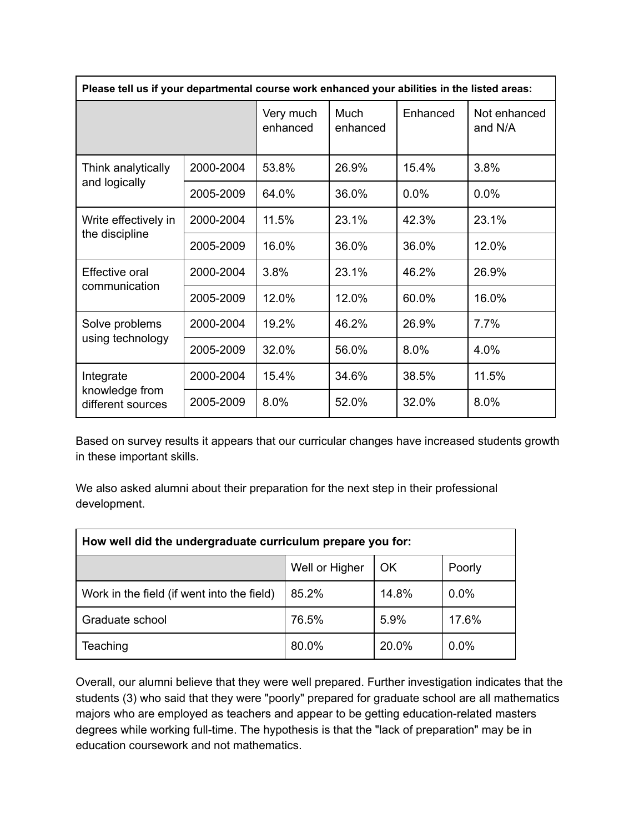| Please tell us if your departmental course work enhanced your abilities in the listed areas: |           |                       |                         |          |                         |  |
|----------------------------------------------------------------------------------------------|-----------|-----------------------|-------------------------|----------|-------------------------|--|
|                                                                                              |           | Very much<br>enhanced | <b>Much</b><br>enhanced | Enhanced | Not enhanced<br>and N/A |  |
| Think analytically<br>and logically                                                          | 2000-2004 | 53.8%                 | 26.9%                   | 15.4%    | 3.8%                    |  |
|                                                                                              | 2005-2009 | 64.0%                 | 36.0%                   | 0.0%     | 0.0%                    |  |
| Write effectively in<br>the discipline                                                       | 2000-2004 | 11.5%                 | 23.1%                   | 42.3%    | 23.1%                   |  |
|                                                                                              | 2005-2009 | 16.0%                 | 36.0%                   | 36.0%    | 12.0%                   |  |
| Effective oral<br>communication                                                              | 2000-2004 | 3.8%                  | 23.1%                   | 46.2%    | 26.9%                   |  |
|                                                                                              | 2005-2009 | 12.0%                 | 12.0%                   | 60.0%    | 16.0%                   |  |
| Solve problems<br>using technology                                                           | 2000-2004 | 19.2%                 | 46.2%                   | 26.9%    | 7.7%                    |  |
|                                                                                              | 2005-2009 | 32.0%                 | 56.0%                   | 8.0%     | 4.0%                    |  |
| Integrate<br>knowledge from<br>different sources                                             | 2000-2004 | 15.4%                 | 34.6%                   | 38.5%    | 11.5%                   |  |
|                                                                                              | 2005-2009 | 8.0%                  | 52.0%                   | 32.0%    | 8.0%                    |  |

Based on survey results it appears that our curricular changes have increased students growth in these important skills.

We also asked alumni about their preparation for the next step in their professional development.

| How well did the undergraduate curriculum prepare you for: |                |       |        |  |  |  |
|------------------------------------------------------------|----------------|-------|--------|--|--|--|
|                                                            | Well or Higher | OK    | Poorly |  |  |  |
| Work in the field (if went into the field)                 | 85.2%          | 14.8% | 0.0%   |  |  |  |
| Graduate school                                            | 76.5%          | 5.9%  | 17.6%  |  |  |  |
| Teaching                                                   | 80.0%          | 20.0% | 0.0%   |  |  |  |

Overall, our alumni believe that they were well prepared. Further investigation indicates that the students (3) who said that they were "poorly" prepared for graduate school are all mathematics majors who are employed as teachers and appear to be getting education-related masters degrees while working full-time. The hypothesis is that the "lack of preparation" may be in education coursework and not mathematics.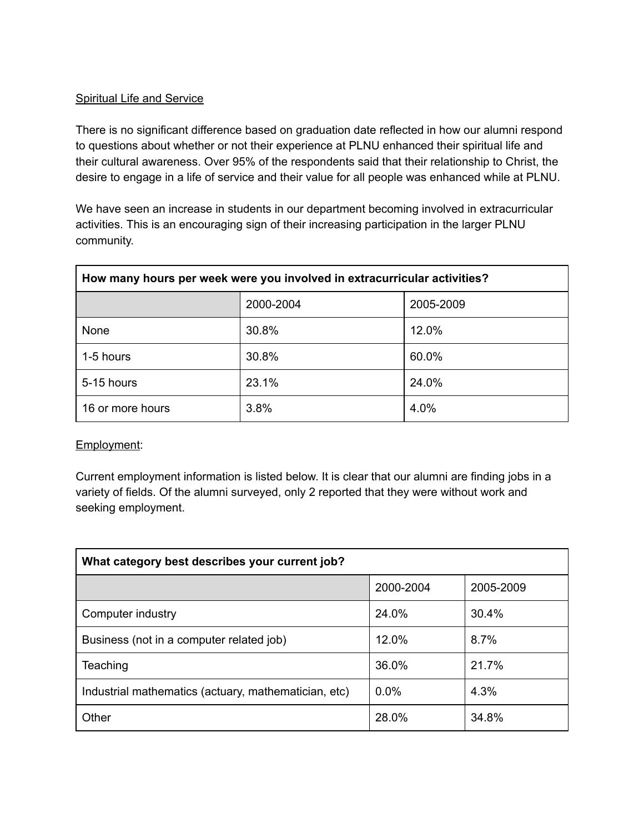#### **Spiritual Life and Service**

There is no significant difference based on graduation date reflected in how our alumni respond to questions about whether or not their experience at PLNU enhanced their spiritual life and their cultural awareness. Over 95% of the respondents said that their relationship to Christ, the desire to engage in a life of service and their value for all people was enhanced while at PLNU.

We have seen an increase in students in our department becoming involved in extracurricular activities. This is an encouraging sign of their increasing participation in the larger PLNU community.

| How many hours per week were you involved in extracurricular activities? |           |           |  |  |  |
|--------------------------------------------------------------------------|-----------|-----------|--|--|--|
|                                                                          | 2000-2004 | 2005-2009 |  |  |  |
| None                                                                     | 30.8%     | 12.0%     |  |  |  |
| 1-5 hours                                                                | 30.8%     | 60.0%     |  |  |  |
| 5-15 hours                                                               | 23.1%     | 24.0%     |  |  |  |
| 16 or more hours                                                         | 3.8%      | 4.0%      |  |  |  |

#### Employment:

Current employment information is listed below. It is clear that our alumni are finding jobs in a variety of fields. Of the alumni surveyed, only 2 reported that they were without work and seeking employment.

| What category best describes your current job?       |           |           |  |  |  |
|------------------------------------------------------|-----------|-----------|--|--|--|
|                                                      | 2000-2004 | 2005-2009 |  |  |  |
| Computer industry                                    | 24.0%     | 30.4%     |  |  |  |
| Business (not in a computer related job)             | 12.0%     | 8.7%      |  |  |  |
| Teaching                                             | 36.0%     | 21.7%     |  |  |  |
| Industrial mathematics (actuary, mathematician, etc) | 0.0%      | 4.3%      |  |  |  |
| Other                                                | 28.0%     | 34.8%     |  |  |  |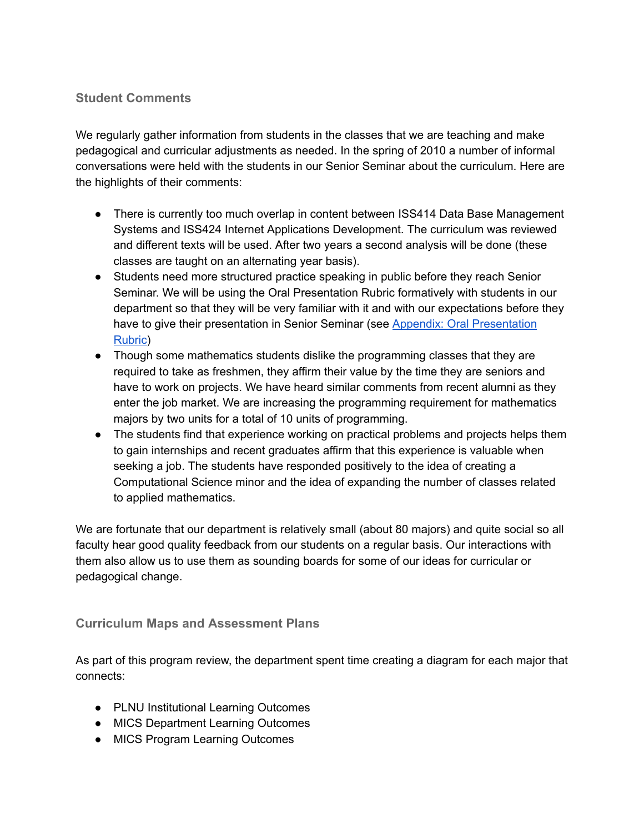# **Student Comments**

We regularly gather information from students in the classes that we are teaching and make pedagogical and curricular adjustments as needed. In the spring of 2010 a number of informal conversations were held with the students in our Senior Seminar about the curriculum. Here are the highlights of their comments:

- There is currently too much overlap in content between ISS414 Data Base Management Systems and ISS424 Internet Applications Development. The curriculum was reviewed and different texts will be used. After two years a second analysis will be done (these classes are taught on an alternating year basis).
- Students need more structured practice speaking in public before they reach Senior Seminar. We will be using the Oral Presentation Rubric formatively with students in our department so that they will be very familiar with it and with our expectations before they have to give their presentation in Senior Seminar (see Appendix: Oral [Presentation](https://drive.google.com/file/d/0Bxic57U2ySklTWhleXJGX2JZdXc/view?usp=sharing) [Rubric\)](https://drive.google.com/file/d/0Bxic57U2ySklTWhleXJGX2JZdXc/view?usp=sharing)
- Though some mathematics students dislike the programming classes that they are required to take as freshmen, they affirm their value by the time they are seniors and have to work on projects. We have heard similar comments from recent alumni as they enter the job market. We are increasing the programming requirement for mathematics majors by two units for a total of 10 units of programming.
- The students find that experience working on practical problems and projects helps them to gain internships and recent graduates affirm that this experience is valuable when seeking a job. The students have responded positively to the idea of creating a Computational Science minor and the idea of expanding the number of classes related to applied mathematics.

We are fortunate that our department is relatively small (about 80 majors) and quite social so all faculty hear good quality feedback from our students on a regular basis. Our interactions with them also allow us to use them as sounding boards for some of our ideas for curricular or pedagogical change.

#### **Curriculum Maps and Assessment Plans**

As part of this program review, the department spent time creating a diagram for each major that connects:

- PLNU Institutional Learning Outcomes
- MICS Department Learning Outcomes
- MICS Program Learning Outcomes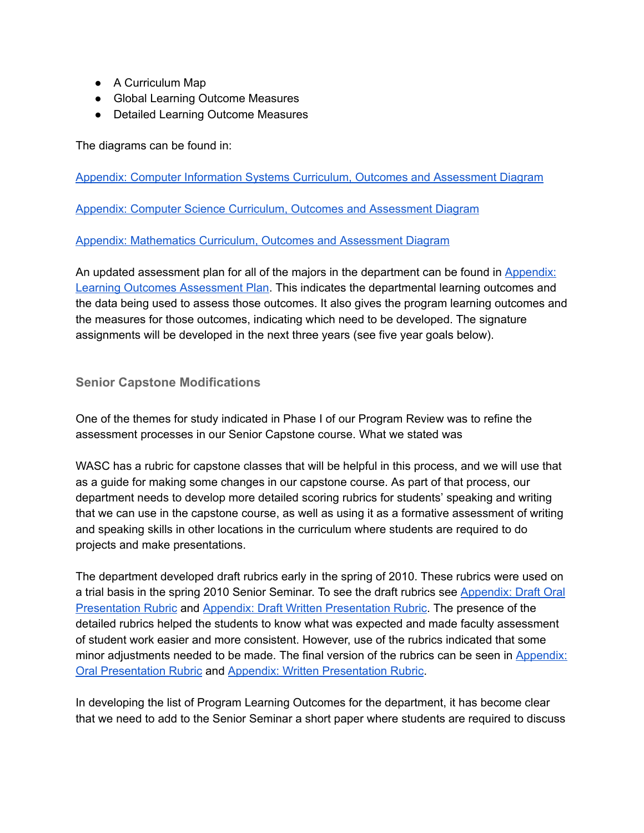- A Curriculum Map
- Global Learning Outcome Measures
- Detailed Learning Outcome Measures

The diagrams can be found in:

Appendix: Computer Information Systems Curriculum, Outcomes and [Assessment](https://drive.google.com/open?id=0Bxic57U2ySklWFVJb3J4R2RySUU) Diagram

Appendix: Computer Science Curriculum, Outcomes and [Assessment](https://drive.google.com/open?id=0Bxic57U2ySklUm4yVkc5Z1RheW8) Diagram

Appendix: [Mathematics](https://drive.google.com/open?id=0Bxic57U2ySkldXRBMGRkMVBSc2M) Curriculum, Outcomes and Assessment Diagram

An updated assessment plan for all of the majors in the department can be found in [Appendix:](https://drive.google.com/file/d/0Bxic57U2ySklSTRBV3lFcjA1c1U/view?usp=sharing) Learning Outcomes [Assessment](https://drive.google.com/file/d/0Bxic57U2ySklSTRBV3lFcjA1c1U/view?usp=sharing) Plan. This indicates the departmental learning outcomes and the data being used to assess those outcomes. It also gives the program learning outcomes and the measures for those outcomes, indicating which need to be developed. The signature assignments will be developed in the next three years (see five year goals below).

#### **Senior Capstone Modifications**

One of the themes for study indicated in Phase I of our Program Review was to refine the assessment processes in our Senior Capstone course. What we stated was

WASC has a rubric for capstone classes that will be helpful in this process, and we will use that as a guide for making some changes in our capstone course. As part of that process, our department needs to develop more detailed scoring rubrics for students' speaking and writing that we can use in the capstone course, as well as using it as a formative assessment of writing and speaking skills in other locations in the curriculum where students are required to do projects and make presentations.

The department developed draft rubrics early in the spring of 2010. These rubrics were used on a trial basis in the spring 2010 Senior Seminar. To see the draft rubrics see [Appendix:](https://drive.google.com/file/d/0Bxic57U2ySklMEVlZ05jYUZQdFE/view?usp=sharing) Draft Oral [Presentation](https://drive.google.com/file/d/0Bxic57U2ySklMEVlZ05jYUZQdFE/view?usp=sharing) Rubric and Appendix: Draft Written [Presentation](https://drive.google.com/open?id=0Bxic57U2ySklU0tWOTNQQkZIMFU) Rubric. The presence of the detailed rubrics helped the students to know what was expected and made faculty assessment of student work easier and more consistent. However, use of the rubrics indicated that some minor adjustments needed to be made. The final version of the rubrics can be seen in [Appendix:](https://drive.google.com/open?id=0Bxic57U2ySklTWhleXJGX2JZdXc) Oral [Presentation](https://drive.google.com/open?id=0Bxic57U2ySklTWhleXJGX2JZdXc) Rubric and Appendix: Written [Presentation](https://drive.google.com/open?id=0Bxic57U2ySklU0tWOTNQQkZIMFU) Rubric.

In developing the list of Program Learning Outcomes for the department, it has become clear that we need to add to the Senior Seminar a short paper where students are required to discuss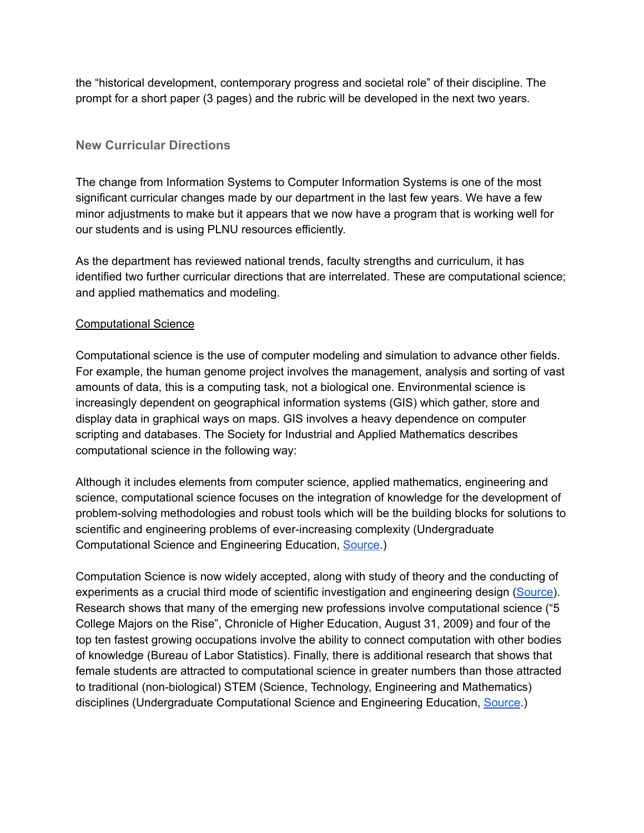the "historical development, contemporary progress and societal role" of their discipline. The prompt for a short paper (3 pages) and the rubric will be developed in the next two years.

### **New Curricular Directions**

The change from Information Systems to Computer Information Systems is one of the most significant curricular changes made by our department in the last few years. We have a few minor adjustments to make but it appears that we now have a program that is working well for our students and is using PLNU resources efficiently.

As the department has reviewed national trends, faculty strengths and curriculum, it has identified two further curricular directions that are interrelated. These are computational science; and applied mathematics and modeling.

#### Computational Science

Computational science is the use of computer modeling and simulation to advance other fields. For example, the human genome project involves the management, analysis and sorting of vast amounts of data, this is a computing task, not a biological one. Environmental science is increasingly dependent on geographical information systems (GIS) which gather, store and display data in graphical ways on maps. GIS involves a heavy dependence on computer scripting and databases. The Society for Industrial and Applied Mathematics describes computational science in the following way:

Although it includes elements from computer science, applied mathematics, engineering and science, computational science focuses on the integration of knowledge for the development of problemsolving methodologies and robust tools which will be the building blocks for solutions to scientific and engineering problems of ever-increasing complexity (Undergraduate Computational Science and Engineering Education, [Source](http://www.siam.org/about/pdf/CSE_Report.pdf).)

Computation Science is now widely accepted, along with study of theory and the conducting of experiments as a crucial third mode of scientific investigation and engineering design [\(Source](http://www.siam.org/about/pdf/CSE_Report.pdf)). Research shows that many of the emerging new professions involve computational science ("5 College Majors on the Rise", Chronicle of Higher Education, August 31, 2009) and four of the top ten fastest growing occupations involve the ability to connect computation with other bodies of knowledge (Bureau of Labor Statistics). Finally, there is additional research that shows that female students are attracted to computational science in greater numbers than those attracted to traditional (non-biological) STEM (Science, Technology, Engineering and Mathematics) disciplines (Undergraduate Computational Science and Engineering Education, [Source.](http://www.siam.org/about/pdf/CSE_Report.pdf))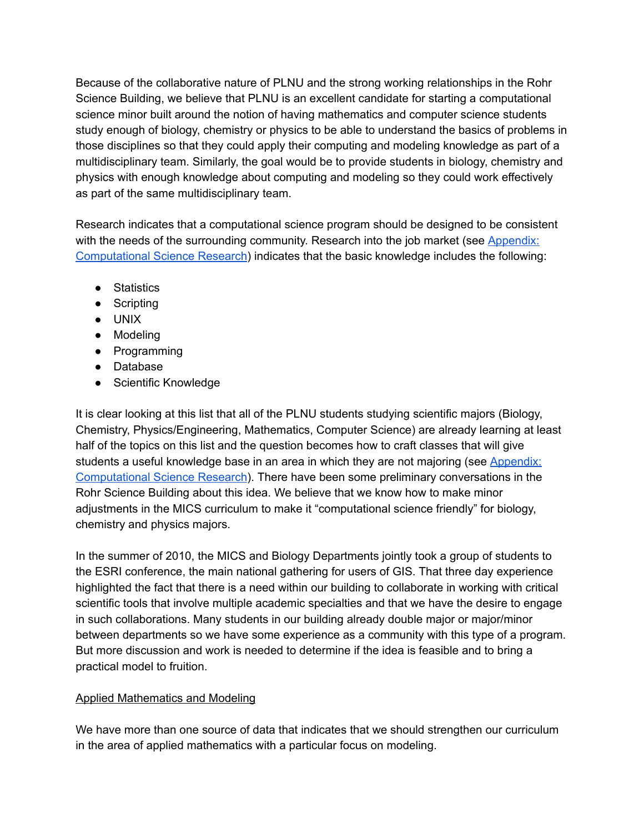Because of the collaborative nature of PLNU and the strong working relationships in the Rohr Science Building, we believe that PLNU is an excellent candidate for starting a computational science minor built around the notion of having mathematics and computer science students study enough of biology, chemistry or physics to be able to understand the basics of problems in those disciplines so that they could apply their computing and modeling knowledge as part of a multidisciplinary team. Similarly, the goal would be to provide students in biology, chemistry and physics with enough knowledge about computing and modeling so they could work effectively as part of the same multidisciplinary team.

Research indicates that a computational science program should be designed to be consistent with the needs of the surrounding community. Research into the job market (see [Appendix:](https://drive.google.com/file/d/0Bxic57U2ySklaE9tQTJuZXVZX0E/view?usp=sharing) [Computational](https://drive.google.com/file/d/0Bxic57U2ySklaE9tQTJuZXVZX0E/view?usp=sharing) Science Research) indicates that the basic knowledge includes the following:

- Statistics
- Scripting
- UNIX
- Modeling
- Programming
- Database
- Scientific Knowledge

It is clear looking at this list that all of the PLNU students studying scientific majors (Biology, Chemistry, Physics/Engineering, Mathematics, Computer Science) are already learning at least half of the topics on this list and the question becomes how to craft classes that will give students a useful knowledge base in an area in which they are not majoring (see [Appendix:](https://drive.google.com/file/d/0Bxic57U2ySklaE9tQTJuZXVZX0E/view?usp=sharing) [Computational](https://drive.google.com/file/d/0Bxic57U2ySklaE9tQTJuZXVZX0E/view?usp=sharing) Science Research). There have been some preliminary conversations in the Rohr Science Building about this idea. We believe that we know how to make minor adjustments in the MICS curriculum to make it "computational science friendly" for biology, chemistry and physics majors.

In the summer of 2010, the MICS and Biology Departments jointly took a group of students to the ESRI conference, the main national gathering for users of GIS. That three day experience highlighted the fact that there is a need within our building to collaborate in working with critical scientific tools that involve multiple academic specialties and that we have the desire to engage in such collaborations. Many students in our building already double major or major/minor between departments so we have some experience as a community with this type of a program. But more discussion and work is needed to determine if the idea is feasible and to bring a practical model to fruition.

#### Applied Mathematics and Modeling

We have more than one source of data that indicates that we should strengthen our curriculum in the area of applied mathematics with a particular focus on modeling.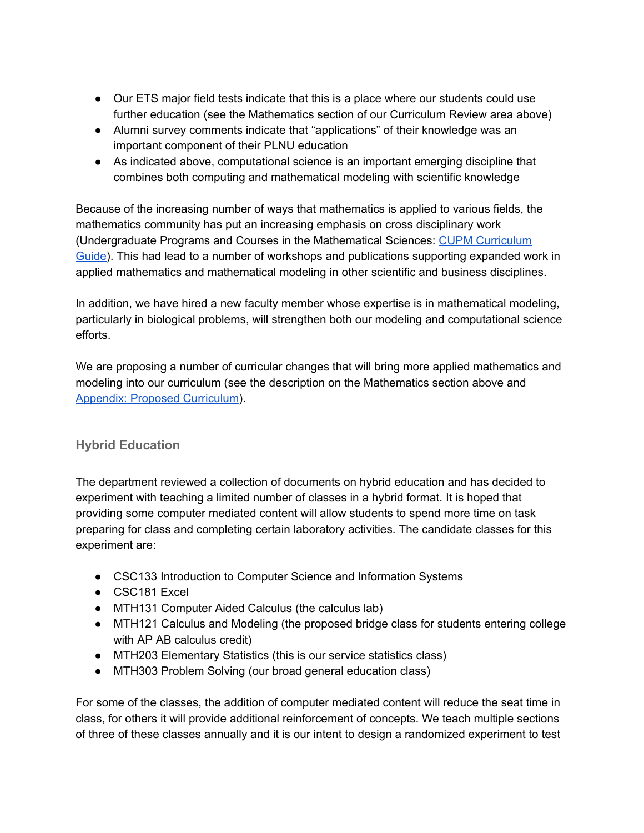- Our ETS major field tests indicate that this is a place where our students could use further education (see the Mathematics section of our Curriculum Review area above)
- Alumni survey comments indicate that "applications" of their knowledge was an important component of their PLNU education
- As indicated above, computational science is an important emerging discipline that combines both computing and mathematical modeling with scientific knowledge

Because of the increasing number of ways that mathematics is applied to various fields, the mathematics community has put an increasing emphasis on cross disciplinary work (Undergraduate Programs and Courses in the Mathematical Sciences: CUPM [Curriculum](http://www.maa.org/cupm/curr_guide.html) [Guide](http://www.maa.org/cupm/curr_guide.html)). This had lead to a number of workshops and publications supporting expanded work in applied mathematics and mathematical modeling in other scientific and business disciplines.

In addition, we have hired a new faculty member whose expertise is in mathematical modeling, particularly in biological problems, will strengthen both our modeling and computational science efforts.

We are proposing a number of curricular changes that will bring more applied mathematics and modeling into our curriculum (see the description on the Mathematics section above and Appendix: Proposed [Curriculum](https://drive.google.com/open?id=0Bxic57U2ySklWTBYNzBIWlVIMkU)).

# **Hybrid Education**

The department reviewed a collection of documents on hybrid education and has decided to experiment with teaching a limited number of classes in a hybrid format. It is hoped that providing some computer mediated content will allow students to spend more time on task preparing for class and completing certain laboratory activities. The candidate classes for this experiment are:

- CSC133 Introduction to Computer Science and Information Systems
- CSC181 Excel
- MTH131 Computer Aided Calculus (the calculus lab)
- MTH121 Calculus and Modeling (the proposed bridge class for students entering college with AP AB calculus credit)
- MTH203 Elementary Statistics (this is our service statistics class)
- MTH303 Problem Solving (our broad general education class)

For some of the classes, the addition of computer mediated content will reduce the seat time in class, for others it will provide additional reinforcement of concepts. We teach multiple sections of three of these classes annually and it is our intent to design a randomized experiment to test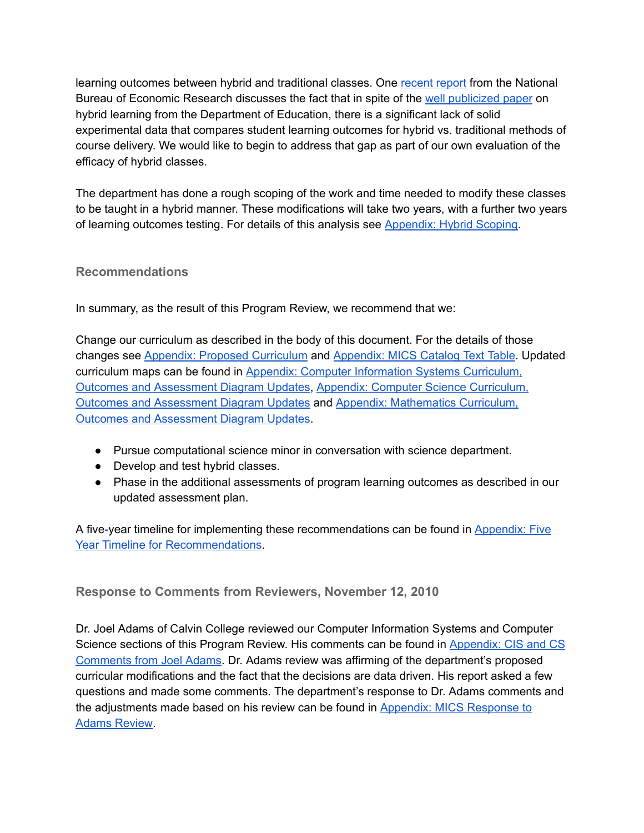learning outcomes between hybrid and traditional classes. One [recent](http://www.nber.org/papers/w16089) report from the National Bureau of Economic Research discusses the fact that in spite of the well [publicized](http://www2.ed.gov/rschstat/eval/tech/evidence-based-practices/finalreport.pdf) paper on hybrid learning from the Department of Education, there is a significant lack of solid experimental data that compares student learning outcomes for hybrid vs. traditional methods of course delivery. We would like to begin to address that gap as part of our own evaluation of the efficacy of hybrid classes.

The department has done a rough scoping of the work and time needed to modify these classes to be taught in a hybrid manner. These modifications will take two years, with a further two years of learning outcomes testing. For details of this analysis see [Appendix:](https://drive.google.com/file/d/0Bxic57U2ySkleWNOY29PRWhidFE/view?usp=sharing) Hybrid Scoping.

# **Recommendations**

In summary, as the result of this Program Review, we recommend that we:

Change our curriculum as described in the body of this document. For the details of those changes see Appendix: Proposed [Curriculum](https://drive.google.com/open?id=0Bxic57U2ySklWTBYNzBIWlVIMkU) and [Appendix:](https://drive.google.com/open?id=0Bxic57U2ySklSzBPNmxJWGRkd00) MICS Catalog Text Table. Updated curriculum maps can be found in Appendix: Computer Information Systems [Curriculum,](https://drive.google.com/open?id=0Bxic57U2ySklWFVJb3J4R2RySUU) Outcomes and [Assessment](https://drive.google.com/open?id=0Bxic57U2ySklWFVJb3J4R2RySUU) Diagram Updates, Appendix: Computer Science [Curriculum,](https://drive.google.com/open?id=0Bxic57U2ySklUm4yVkc5Z1RheW8) Outcomes and [Assessment](https://drive.google.com/open?id=0Bxic57U2ySklUm4yVkc5Z1RheW8) Diagram Updates and Appendix: [Mathematics](https://drive.google.com/open?id=0Bxic57U2ySkldXRBMGRkMVBSc2M) Curriculum, Outcomes and [Assessment](https://drive.google.com/open?id=0Bxic57U2ySkldXRBMGRkMVBSc2M) Diagram Updates.

- Pursue computational science minor in conversation with science department.
- Develop and test hybrid classes.
- Phase in the additional assessments of program learning outcomes as described in our updated assessment plan.

A five-year timeline for implementing these recommendations can be found in [Appendix:](https://drive.google.com/open?id=0Bxic57U2ySklVDRJLTcyanluWUk) Five Year Timeline for [Recommendations](https://drive.google.com/open?id=0Bxic57U2ySklVDRJLTcyanluWUk).

**Response to Comments from Reviewers, November 12, 2010**

Dr. Joel Adams of Calvin College reviewed our Computer Information Systems and Computer Science sections of this Program Review. His comments can be found in [Appendix:](https://drive.google.com/open?id=0Bxic57U2ySklcnBQLVY5VEZfVzQ) CIS and CS [Comments](https://drive.google.com/open?id=0Bxic57U2ySklcnBQLVY5VEZfVzQ) from Joel Adams. Dr. Adams review was affirming of the department's proposed curricular modifications and the fact that the decisions are data driven. His report asked a few questions and made some comments. The department's response to Dr. Adams comments and the adjustments made based on his review can be found in Appendix: MICS [Response](https://drive.google.com/open?id=0Bxic57U2ySklX1NpdG9hTVFGbGM) to Adams [Review.](https://drive.google.com/open?id=0Bxic57U2ySklX1NpdG9hTVFGbGM)